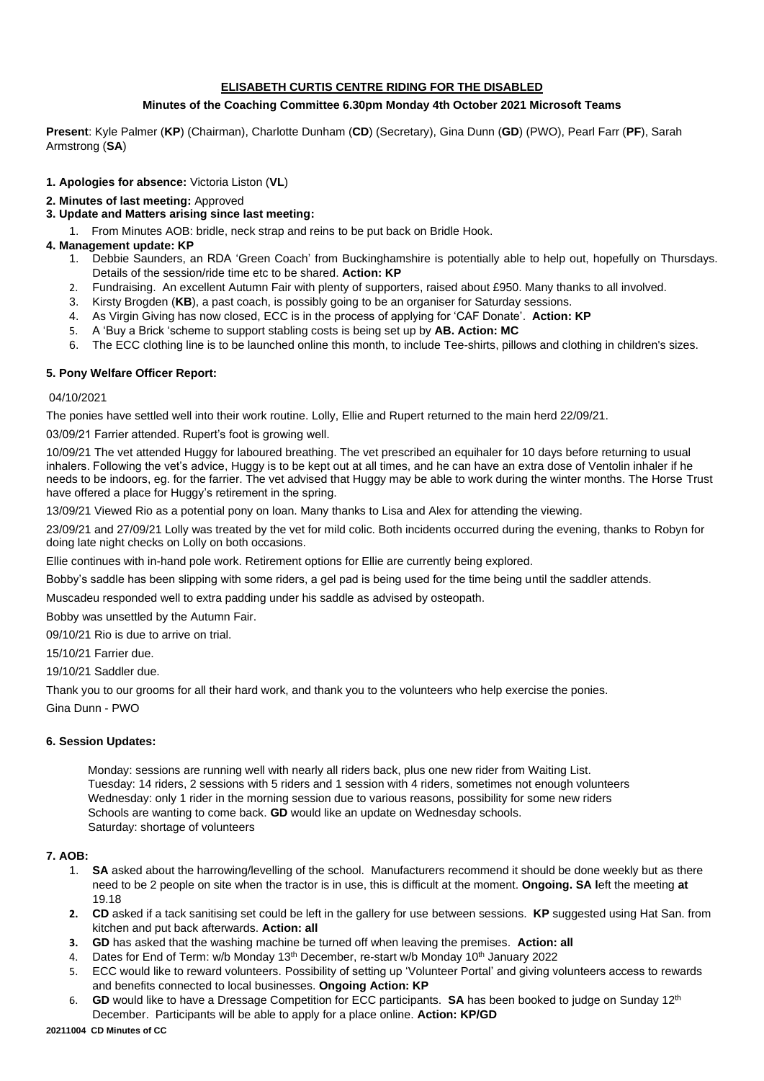# **ELISABETH CURTIS CENTRE RIDING FOR THE DISABLED**

# **Minutes of the Coaching Committee 6.30pm Monday 4th October 2021 Microsoft Teams**

**Present**: Kyle Palmer (**KP**) (Chairman), Charlotte Dunham (**CD**) (Secretary), Gina Dunn (**GD**) (PWO), Pearl Farr (**PF**), Sarah Armstrong (**SA**)

## **1. Apologies for absence:** Victoria Liston (**VL**)

### **2. Minutes of last meeting:** Approved

## **3. Update and Matters arising since last meeting:**

1. From Minutes AOB: bridle, neck strap and reins to be put back on Bridle Hook.

### **4. Management update: KP**

- 1. Debbie Saunders, an RDA 'Green Coach' from Buckinghamshire is potentially able to help out, hopefully on Thursdays. Details of the session/ride time etc to be shared. **Action: KP**
- 2. Fundraising. An excellent Autumn Fair with plenty of supporters, raised about £950. Many thanks to all involved.
- 3. Kirsty Brogden (**KB**), a past coach, is possibly going to be an organiser for Saturday sessions.
- 4. As Virgin Giving has now closed, ECC is in the process of applying for 'CAF Donate'. **Action: KP**
- 5. A 'Buy a Brick 'scheme to support stabling costs is being set up by **AB. Action: MC**
- 6. The ECC clothing line is to be launched online this month, to include Tee-shirts, pillows and clothing in children's sizes.

### **5. Pony Welfare Officer Report:**

#### 04/10/2021

The ponies have settled well into their work routine. Lolly, Ellie and Rupert returned to the main herd 22/09/21.

03/09/21 Farrier attended. Rupert's foot is growing well.

10/09/21 The vet attended Huggy for laboured breathing. The vet prescribed an equihaler for 10 days before returning to usual inhalers. Following the vet's advice, Huggy is to be kept out at all times, and he can have an extra dose of Ventolin inhaler if he needs to be indoors, eg. for the farrier. The vet advised that Huggy may be able to work during the winter months. The Horse Trust have offered a place for Huggy's retirement in the spring.

13/09/21 Viewed Rio as a potential pony on loan. Many thanks to Lisa and Alex for attending the viewing.

23/09/21 and 27/09/21 Lolly was treated by the vet for mild colic. Both incidents occurred during the evening, thanks to Robyn for doing late night checks on Lolly on both occasions.

Ellie continues with in-hand pole work. Retirement options for Ellie are currently being explored.

Bobby's saddle has been slipping with some riders, a gel pad is being used for the time being until the saddler attends.

Muscadeu responded well to extra padding under his saddle as advised by osteopath.

Bobby was unsettled by the Autumn Fair.

09/10/21 Rio is due to arrive on trial.

15/10/21 Farrier due.

19/10/21 Saddler due.

Thank you to our grooms for all their hard work, and thank you to the volunteers who help exercise the ponies.

Gina Dunn - PWO

#### **6. Session Updates:**

 Monday: sessions are running well with nearly all riders back, plus one new rider from Waiting List. Tuesday: 14 riders, 2 sessions with 5 riders and 1 session with 4 riders, sometimes not enough volunteers Wednesday: only 1 rider in the morning session due to various reasons, possibility for some new riders Schools are wanting to come back. **GD** would like an update on Wednesday schools. Saturday: shortage of volunteers

# **7. AOB:**

- 1. **SA** asked about the harrowing/levelling of the school. Manufacturers recommend it should be done weekly but as there need to be 2 people on site when the tractor is in use, this is difficult at the moment. **Ongoing. SA l**eft the meeting **at**  19.18
- **2. CD** asked if a tack sanitising set could be left in the gallery for use between sessions. **KP** suggested using Hat San. from kitchen and put back afterwards. **Action: all**
- **3. GD** has asked that the washing machine be turned off when leaving the premises. **Action: all**
- 4. Dates for End of Term: w/b Monday 13<sup>th</sup> December, re-start w/b Monday 10<sup>th</sup> January 2022
- 5. ECC would like to reward volunteers. Possibility of setting up 'Volunteer Portal' and giving volunteers access to rewards and benefits connected to local businesses. **Ongoing Action: KP**
- 6. **GD** would like to have a Dressage Competition for ECC participants. **SA** has been booked to judge on Sunday 12th December. Participants will be able to apply for a place online. **Action: KP/GD**